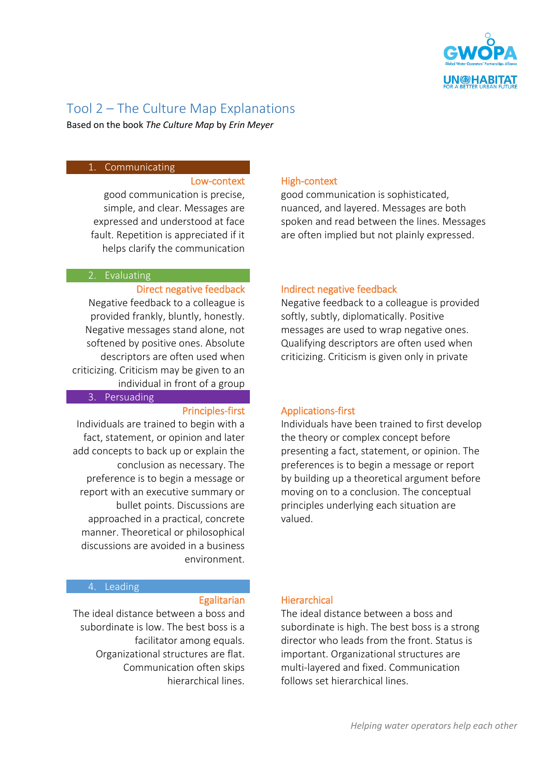

# Tool 2 – The Culture Map Explanations

Based on the book *The Culture Map* by *Erin Meyer*

# 1. Communicating

### Low-context

good communication is precise, simple, and clear. Messages are expressed and understood at face fault. Repetition is appreciated if it helps clarify the communication

# 2. Evaluating

### Direct negative feedback

Negative feedback to a colleague is provided frankly, bluntly, honestly. Negative messages stand alone, not softened by positive ones. Absolute descriptors are often used when criticizing. Criticism may be given to an individual in front of a group

3. Persuading

### Principles-first

Individuals are trained to begin with a fact, statement, or opinion and later add concepts to back up or explain the conclusion as necessary. The preference is to begin a message or report with an executive summary or bullet points. Discussions are approached in a practical, concrete manner. Theoretical or philosophical discussions are avoided in a business environment.

## 4. Leading

#### **Egalitarian**

The ideal distance between a boss and subordinate is low. The best boss is a facilitator among equals. Organizational structures are flat. Communication often skips hierarchical lines.

# High-context

good communication is sophisticated, nuanced, and layered. Messages are both spoken and read between the lines. Messages are often implied but not plainly expressed.

### Indirect negative feedback

Negative feedback to a colleague is provided softly, subtly, diplomatically. Positive messages are used to wrap negative ones. Qualifying descriptors are often used when criticizing. Criticism is given only in private

## Applications-first

Individuals have been trained to first develop the theory or complex concept before presenting a fact, statement, or opinion. The preferences is to begin a message or report by building up a theoretical argument before moving on to a conclusion. The conceptual principles underlying each situation are valued.

### **Hierarchical**

The ideal distance between a boss and subordinate is high. The best boss is a strong director who leads from the front. Status is important. Organizational structures are multi-layered and fixed. Communication follows set hierarchical lines.